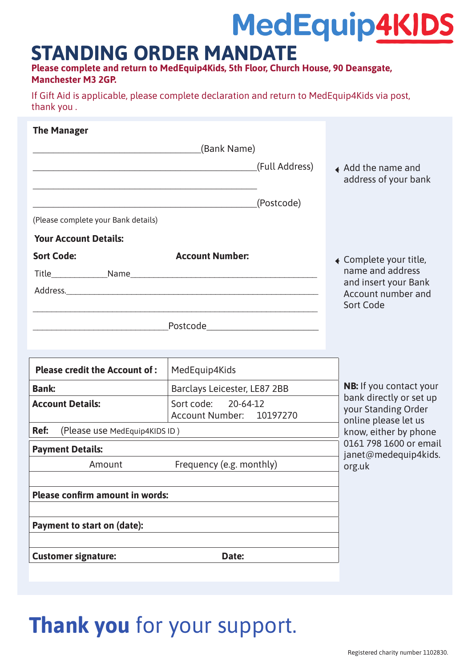## MedEquip4KIDS

### **STANDING ORDER MANDATE**

### **Please complete and return to MedEquip4Kids, 5th Floor, Church House, 90 Deansgate, Manchester M3 2GP.**

If Gift Aid is applicable, please complete declaration and return to MedEquip4Kids via post, thank you .

| <b>The Manager</b>                     |                                                 |                                                                        |
|----------------------------------------|-------------------------------------------------|------------------------------------------------------------------------|
|                                        | (Bank Name)                                     |                                                                        |
|                                        | (Full Address)                                  | Add the name and                                                       |
|                                        |                                                 | address of your bank                                                   |
|                                        | (Postcode)                                      |                                                                        |
| (Please complete your Bank details)    |                                                 |                                                                        |
| <b>Your Account Details:</b>           |                                                 |                                                                        |
| <b>Sort Code:</b>                      | <b>Account Number:</b>                          | ← Complete your title,                                                 |
|                                        |                                                 | name and address<br>and insert your Bank                               |
|                                        |                                                 | Account number and                                                     |
|                                        |                                                 | Sort Code                                                              |
|                                        | Postcode___________________________             |                                                                        |
|                                        |                                                 |                                                                        |
| <b>Please credit the Account of:</b>   | MedEquip4Kids                                   |                                                                        |
| <b>Bank:</b>                           | Barclays Leicester, LE87 2BB                    | <b>NB:</b> If you contact your                                         |
| <b>Account Details:</b>                | Sort code: 20-64-12<br>Account Number: 10197270 | bank directly or set up<br>your Standing Order<br>online please let us |
| Ref:<br>(Please use MedEquip4KIDS ID)  |                                                 | know, either by phone                                                  |
| <b>Payment Details:</b>                |                                                 | 0161 798 1600 or email<br>janet@medequip4kids.                         |
| Amount                                 | Frequency (e.g. monthly)                        | org.uk                                                                 |
| <b>Please confirm amount in words:</b> |                                                 |                                                                        |
|                                        |                                                 |                                                                        |
| Payment to start on (date):            |                                                 |                                                                        |
| <b>Customer signature:</b>             | Date:                                           |                                                                        |
|                                        |                                                 |                                                                        |

## **Thank you** for your support.